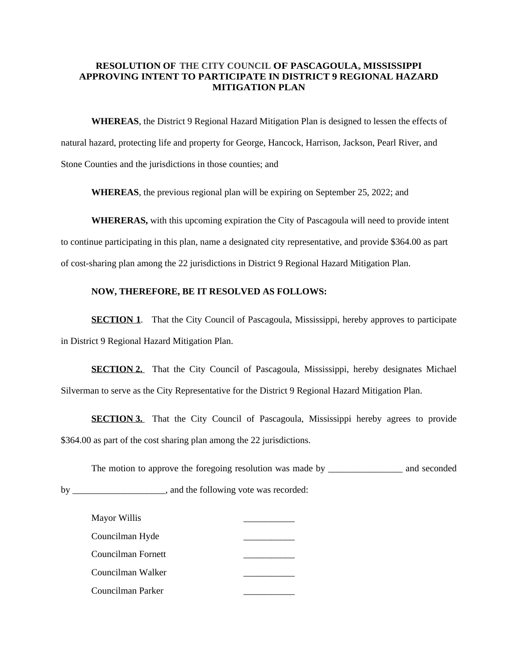## **RESOLUTION OF THE CITY COUNCIL OF PASCAGOULA,MISSISSIPPI APPROVING INTENT TO PARTICIPATE IN DISTRICT 9 REGIONAL HAZARD MITIGATION PLAN**

**WHEREAS**, the District 9 Regional Hazard Mitigation Plan is designed to lessen the effects of natural hazard, protecting life and property for George, Hancock, Harrison, Jackson, Pearl River, and Stone Counties and the jurisdictions in those counties; and

**WHEREAS**, the previous regional plan will be expiring on September 25, 2022; and

**WHERERAS,** with this upcoming expiration the City of Pascagoula will need to provide intent to continue participating in this plan, name a designated city representative, and provide \$364.00 as part of cost-sharing plan among the 22 jurisdictions in District 9 Regional Hazard Mitigation Plan.

## **NOW, THEREFORE, BE IT RESOLVED AS FOLLOWS:**

**SECTION 1.** That the City Council of Pascagoula, Mississippi, hereby approves to participate in District 9 Regional Hazard Mitigation Plan.

**SECTION 2.** That the City Council of Pascagoula, Mississippi, hereby designates Michael Silverman to serve as the City Representative for the District 9 Regional Hazard Mitigation Plan.

**SECTION 3.** That the City Council of Pascagoula, Mississippi hereby agrees to provide \$364.00 as part of the cost sharing plan among the 22 jurisdictions.

The motion to approve the foregoing resolution was made by \_\_\_\_\_\_\_\_\_\_\_\_\_\_\_\_\_\_\_\_\_ and seconded by \_\_\_\_\_\_\_\_\_\_\_\_\_\_\_\_\_\_\_, and the following vote was recorded:

| Mayor Willis       |  |
|--------------------|--|
| Councilman Hyde    |  |
| Councilman Fornett |  |
| Councilman Walker  |  |
| Councilman Parker  |  |